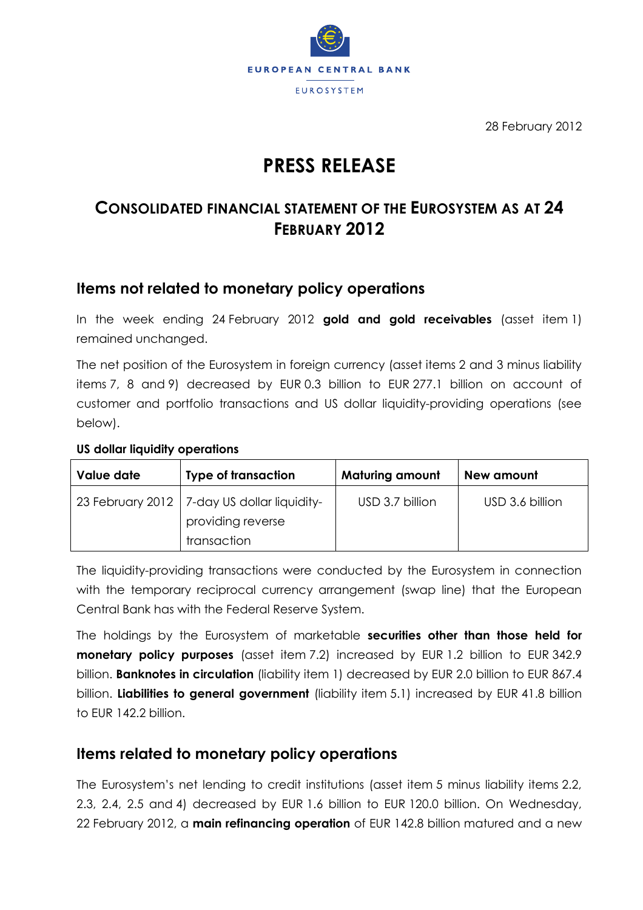

28 February 2012

# **PRESS RELEASE**

## **CONSOLIDATED FINANCIAL STATEMENT OF THE EUROSYSTEM AS AT 24 FEBRUARY 2012**

## **Items not related to monetary policy operations**

In the week ending 24 February 2012 **gold and gold receivables** (asset item 1) remained unchanged.

The net position of the Eurosystem in foreign currency (asset items 2 and 3 minus liability items 7, 8 and 9) decreased by EUR 0.3 billion to EUR 277.1 billion on account of customer and portfolio transactions and US dollar liquidity-providing operations (see below).

#### **US dollar liquidity operations**

| Value date | <b>Type of transaction</b>                                                        | <b>Maturing amount</b> | New amount      |
|------------|-----------------------------------------------------------------------------------|------------------------|-----------------|
|            | 23 February 2012   7-day US dollar liquidity-<br>providing reverse<br>transaction | USD 3.7 billion        | USD 3.6 billion |

The liquidity-providing transactions were conducted by the Eurosystem in connection with the temporary reciprocal currency arrangement (swap line) that the European Central Bank has with the Federal Reserve System.

The holdings by the Eurosystem of marketable **securities other than those held for monetary policy purposes** (asset item 7.2) increased by EUR 1.2 billion to EUR 342.9 billion. **Banknotes in circulation** (liability item 1) decreased by EUR 2.0 billion to EUR 867.4 billion. **Liabilities to general government** (liability item 5.1) increased by EUR 41.8 billion to EUR 142.2 billion.

### **Items related to monetary policy operations**

The Eurosystem's net lending to credit institutions (asset item 5 minus liability items 2.2, 2.3, 2.4, 2.5 and 4) decreased by EUR 1.6 billion to EUR 120.0 billion. On Wednesday, 22 February 2012, a **main refinancing operation** of EUR 142.8 billion matured and a new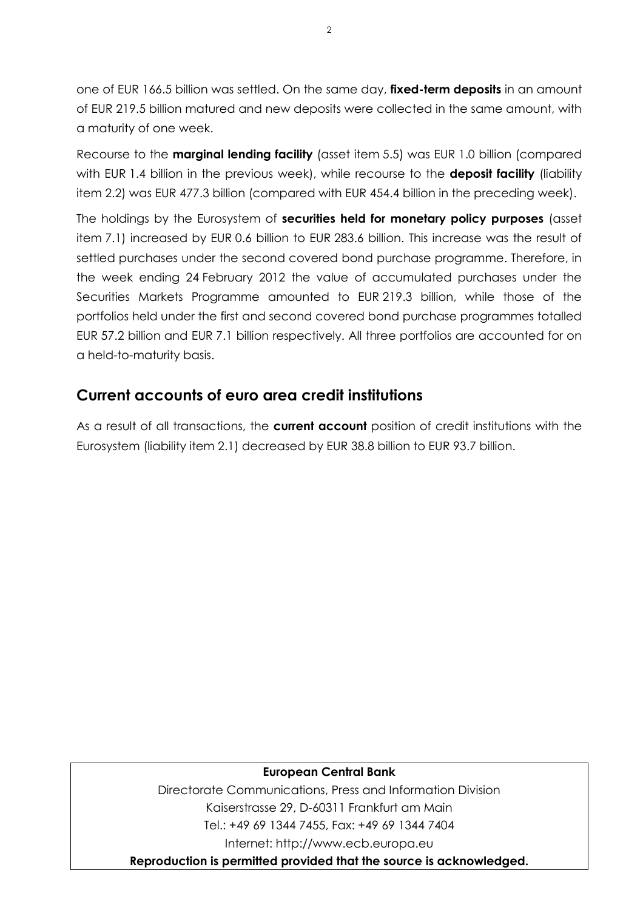one of EUR 166.5 billion was settled. On the same day, **fixed-term deposits** in an amount of EUR 219.5 billion matured and new deposits were collected in the same amount, with a maturity of one week.

Recourse to the **marginal lending facility** (asset item 5.5) was EUR 1.0 billion (compared with EUR 1.4 billion in the previous week), while recourse to the **deposit facility** (liability item 2.2) was EUR 477.3 billion (compared with EUR 454.4 billion in the preceding week).

The holdings by the Eurosystem of **securities held for monetary policy purposes** (asset item 7.1) increased by EUR 0.6 billion to EUR 283.6 billion. This increase was the result of settled purchases under the second covered bond purchase programme. Therefore, in the week ending 24 February 2012 the value of accumulated purchases under the Securities Markets Programme amounted to EUR 219.3 billion, while those of the portfolios held under the first and second covered bond purchase programmes totalled EUR 57.2 billion and EUR 7.1 billion respectively. All three portfolios are accounted for on a held-to-maturity basis.

## **Current accounts of euro area credit institutions**

As a result of all transactions, the **current account** position of credit institutions with the Eurosystem (liability item 2.1) decreased by EUR 38.8 billion to EUR 93.7 billion.

#### **European Central Bank**

Directorate Communications, Press and Information Division Kaiserstrasse 29, D-60311 Frankfurt am Main Tel.: +49 69 1344 7455, Fax: +49 69 1344 7404 Internet: http://www.ecb.europa.eu

**Reproduction is permitted provided that the source is acknowledged.**

 $\overline{2}$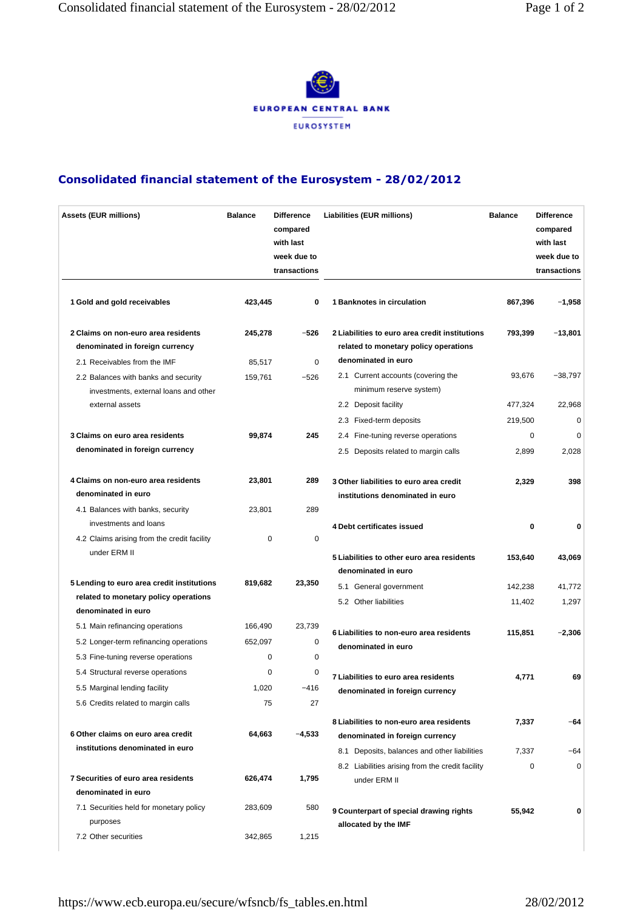

#### Consolidated financial statement of the Eurosystem - 28/02/2012

| <b>Assets (EUR millions)</b>                                                  | <b>Balance</b> | <b>Difference</b><br>compared<br>with last<br>week due to<br>transactions | Liabilities (EUR millions)                                                              | <b>Balance</b> | <b>Difference</b><br>compared<br>with last<br>week due to<br>transactions |
|-------------------------------------------------------------------------------|----------------|---------------------------------------------------------------------------|-----------------------------------------------------------------------------------------|----------------|---------------------------------------------------------------------------|
| 1 Gold and gold receivables                                                   | 423,445        | 0                                                                         | 1 Banknotes in circulation                                                              | 867,396        | $-1,958$                                                                  |
| 2 Claims on non-euro area residents<br>denominated in foreign currency        | 245,278        | $-526$                                                                    | 2 Liabilities to euro area credit institutions<br>related to monetary policy operations | 793,399        | $-13,801$                                                                 |
| 2.1 Receivables from the IMF                                                  | 85,517         | $\mathbf 0$                                                               | denominated in euro                                                                     |                |                                                                           |
| 2.2 Balances with banks and security<br>investments, external loans and other | 159,761        | $-526$                                                                    | 2.1 Current accounts (covering the<br>minimum reserve system)                           | 93,676         | $-38,797$                                                                 |
| external assets                                                               |                |                                                                           | 2.2 Deposit facility                                                                    | 477,324        | 22,968                                                                    |
|                                                                               |                |                                                                           | 2.3 Fixed-term deposits                                                                 | 219,500        | 0                                                                         |
| 3 Claims on euro area residents                                               | 99,874         | 245                                                                       | 2.4 Fine-tuning reverse operations                                                      | 0              | 0                                                                         |
| denominated in foreign currency                                               |                |                                                                           | 2.5 Deposits related to margin calls                                                    | 2,899          | 2,028                                                                     |
| 4 Claims on non-euro area residents<br>denominated in euro                    | 23,801         | 289                                                                       | 3 Other liabilities to euro area credit<br>institutions denominated in euro             | 2,329          | 398                                                                       |
| 4.1 Balances with banks, security                                             | 23,801         | 289                                                                       |                                                                                         |                |                                                                           |
| investments and loans                                                         |                |                                                                           | 4 Debt certificates issued                                                              | 0              | 0                                                                         |
| 4.2 Claims arising from the credit facility<br>under ERM II                   | 0              | 0                                                                         |                                                                                         |                |                                                                           |
|                                                                               |                |                                                                           | 5 Liabilities to other euro area residents<br>denominated in euro                       | 153,640        | 43,069                                                                    |
| 5 Lending to euro area credit institutions                                    | 819,682        | 23,350                                                                    | 5.1 General government                                                                  | 142,238        | 41,772                                                                    |
| related to monetary policy operations                                         |                |                                                                           | 5.2 Other liabilities                                                                   |                |                                                                           |
| denominated in euro                                                           |                |                                                                           |                                                                                         | 11,402         | 1,297                                                                     |
| 5.1 Main refinancing operations                                               | 166,490        | 23,739                                                                    |                                                                                         |                |                                                                           |
| 5.2 Longer-term refinancing operations                                        | 652,097        | 0                                                                         | 6 Liabilities to non-euro area residents<br>denominated in euro                         | 115,851        | $-2,306$                                                                  |
| 5.3 Fine-tuning reverse operations                                            | 0              | 0                                                                         |                                                                                         |                |                                                                           |
| 5.4 Structural reverse operations                                             | 0              | 0                                                                         | 7 Liabilities to euro area residents                                                    | 4,771          | 69                                                                        |
| 5.5 Marginal lending facility                                                 | 1,020          | $-416$                                                                    | denominated in foreign currency                                                         |                |                                                                           |
| 5.6 Credits related to margin calls                                           | 75             | 27                                                                        |                                                                                         |                |                                                                           |
|                                                                               |                |                                                                           | 8 Liabilities to non-euro area residents                                                | 7,337          | $-64$                                                                     |
| 6 Other claims on euro area credit                                            | 64,663         | -4,533                                                                    | denominated in foreign currency                                                         |                |                                                                           |
| institutions denominated in euro                                              |                |                                                                           | 8.1 Deposits, balances and other liabilities                                            | 7,337          | $-64$                                                                     |
|                                                                               |                |                                                                           | 8.2 Liabilities arising from the credit facility                                        | $\mathbf 0$    | 0                                                                         |
| 7 Securities of euro area residents<br>denominated in euro                    | 626,474        | 1,795                                                                     | under ERM II                                                                            |                |                                                                           |
|                                                                               |                |                                                                           |                                                                                         |                |                                                                           |
| 7.1 Securities held for monetary policy<br>purposes                           | 283,609        | 580                                                                       | 9 Counterpart of special drawing rights<br>allocated by the IMF                         | 55,942         | 0                                                                         |
| 7.2 Other securities                                                          | 342,865        | 1,215                                                                     |                                                                                         |                |                                                                           |